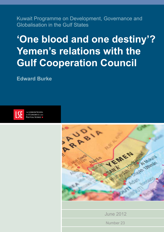Kuwait Programme on Development, Governance and Globalisation in the Gulf States

# **'One blood and one destiny'? Yemen's relations with the Gulf Cooperation Council**

**Edward Burke** 



THE LONDON SCHOOL OF ECONOMICS AND **POLITICAL SCIENCE** 



June 2012

Number 23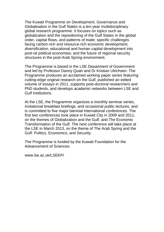The Kuwait Programme on Development, Governance and Globalisation in the Gulf States is a ten-year multidisciplinary global research programme. It focuses on topics such as globalization and the repositioning of the Gulf States in the global order, capital flows, and patterns of trade; specific challenges facing carbon-rich and resource-rich economic development; diversification, educational and human capital development into post-oil political economies; and the future of regional security structures in the post-Arab Spring environment.

The Programme is based in the LSE Department of Government and led by Professor Danny Quah and Dr Kristian Ulrichsen. The Programme produces an acclaimed working paper series featuring cutting-edge original research on the Gulf, published an edited volume of essays in 2011, supports post-doctoral researchers and PhD students, and develops academic networks between LSE and Gulf institutions.

At the LSE, the Programme organizes a monthly seminar series, invitational breakfast briefings, and occasional public lectures, and is committed to five major biennial international conferences. The first two conferences took place in Kuwait City in 2009 and 2011, on the themes of Globalization and the Gulf, and The Economic Transformation of the Gulf. The next conference will take place at the LSE in March 2013, on the theme of The Arab Spring and the Gulf: Politics, Economics, and Security.

The Programme is funded by the Kuwait Foundation for the Advancement of Sciences.

www.lse.ac.uk/LSEKP/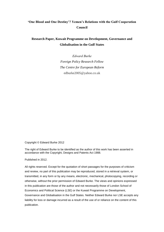## **'One Blood and One Destiny'? Yemen's Relations with the Gulf Cooperation Council**

### **Research Paper, Kuwait Programme on Development, Governance and Globalisation in the Gulf States**

*Edward Burke Foreign Policy Research Fellow The Centre for European Reform* edburke2005@yahoo.co.uk

Copyright © Edward Burke 2012

The right of Edward Burke to be identified as the author of this work has been asserted in accordance with the Copyright, Designs and Patents Act 1988.

Published in 2012.

All rights reserved. Except for the quotation of short passages for the purposes of criticism and review, no part of this publication may be reproduced, stored in a retrieval system, or transmitted, in any form or by any means, electronic, mechanical, photocopying, recording or otherwise, without the prior permission of Edward Burke. The views and opinions expressed in this publication are those of the author and not necessarily those of London School of Economics and Political Science (LSE) or the Kuwait Programme on Development, Governance and Globalisation in the Gulf States. Neither Edward Burke nor LSE accepts any liability for loss or damage incurred as a result of the use of or reliance on the content of this publication.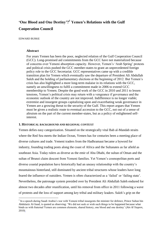# **'One Blood and One Destiny'?<sup>1</sup> Yemen's Relations with the Gulf Cooperation Council**

EDWARD BURKE

1

#### **Abstract**

For years Yemen has been the poor, neglected relation of the Gulf Cooperation Council (GCC). Long-promised aid commitments from the GCC have not materialized because of concerns over Yemeni absorption capacity. However, Yemen's 'Arab Spring' protests and political crisis pushed the GCC member-states to grant an unprecedented foreign policy role to the GCC Secretariat. GCC representatives came up with a credible transition plan for Yemen which eventually saw the departure of President Ali Abdullah Saleh and the holding of parliamentary elections at the beginning of 2012. But Yemen's crisis has also highlighted a more long-term malaise in its relations with the GCC, namely an unwillingness to fulfil a commitment made in 2006 to extend GCC membership to Yemen. Despite the good work of the GCC in 2010 and 2011 to lessen tensions, Yemen's political crisis may return with a vengeance if governance and the economic outlook of the country are not improved. Indifference is no longer viable; extremist and insurgent groups capitalizing upon and exacerbating weak governance in Yemen are a growing threat to the security of the Gulf. This report argues that Yemen must be given a realistic route to eventual accession to the GCC, not out of a sense of altruism on the part of the current member-states, but as a policy of enlightened selfinterest.

#### **1. HISTORICAL BACKGROUND AND REGIONAL CONTEXT**

Yemen defies easy categorization. Situated on the strategically vital Bab al-Mandab straits where the Red Sea meets the Indian Ocean, Yemen has for centuries been a meeting place of diverse cultures and trade. Yemeni traders from the Hadhramaut became a byword for industry, founding trading posts along the coast of Africa and the Sultanates as far afield as southeast Asia. Today rulers as diverse as the emir of Abu Dhabi, the sultan of Oman and the sultan of Brunei claim descent from Yemeni families. Yet Yemen's cosmopolitan ports and diverse coastal population have historically had an uneasy relationship with the country's mountainous hinterland, still dominated by ancient tribal structures whose leaders have long feared the influence of outsiders. Yemen is often characterized as a 'failed' or 'failing state'. Nevertheless, the patronage system presided over by President Ali Abdullah Saleh endured for almost two decades after reunification, until his removal from office in 2011 following a wave of protests and the loss of support among key tribal and military leaders. Saleh's grip on the

<sup>&</sup>lt;sup>1</sup> In a speech during Saudi Arabia's war with Yemeni tribal insurgents the minister for defence, Prince Sultan bin Abdulaziz Al-Saud, is quoted as observing: 'We did not seek or wish such things to be happened because what binds us with fraternal Yemen are common elements, shared history, one blood and one destiny' (*Ain Al Yaqeen*, 2010)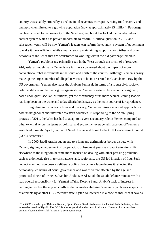country was steadily eroded by a decline in oil revenues, corruption, rising food scarcity and unemployment linked to a growing population (now at approximately 25 million). Patronage had been crucial to the longevity of the Saleh regime, but it has locked the country into a corrupt system which has proved impossible to reform. A critical question in 2012 and subsequent years will be how Yemen's leaders can reform the country's system of government to make it more efficient, while simultaneously maintaining support among tribes and other networks of influence that are accustomed to working within the old patronage template.

Yemen's problems are primarily seen in the West through the prism of a 'resurgent' Al-Qaeda, although many Yemenis are far more concerned about the impact of more conventional rebel movements in the south and north of the country. Although Yemenis easily make up the largest number of alleged terrorists to be incarcerated in Guantánamo Bay by the US government, Yemen also leads the Arabian Peninsula in terms of a robust civil society, political debate and human rights organizations. Yemen is ostensibly a republic, originally based upon quasi-secular institutions, yet the ascendancy of its more secular-leaning leaders has long been on the wane and today Sharia holds sway as the main source of jurisprudence.

Beguiling in its contradictions and intricacy, Yemen requires a nuanced approach from both its neighbours and interested Western countries. In responding to the 'Arab Spring' protests of 2011, the West has had to adapt to its very secondary role in Yemen compared to other external actors. In terms of political and economic leverage, all roads out of Yemen's woes lead through Riyadh, capital of Saudi Arabia and home to the Gulf Cooperation Council (GCC) Secretariat.<sup>2</sup>

In 2000 Saudi Arabia put an end to a long and acrimonious border dispute with Yemen, signing an agreement of cooperation. Subsequent years saw Saudi attention shift elsewhere as the Kingdom became more focused on dealing with other pressing problems, such as a domestic rise in terrorist attacks and, regionally, the US-led invasion of Iraq. Such neglect may not have been a deliberate policy choice: to a large degree it reflected the personality-led nature of Saudi governance and was therefore affected by the age and protracted illness of Prince Sultan bin Abdulaziz Al-Saud, the Saudi defence minister with a lead overall responsibility for Yemeni affairs. Despite Saudi Arabia's lack of interest in helping to resolve the myriad conflicts that were destabilizing Yemen, Riyadh was suspicious of attempts by another GCC member-state, Qatar, to intervene in a zone of influence it saw as

 $2$  The GCC is made up of Bahrain, Kuwait, Oatar, Oman, Saudi Arabia and the United Arab Emirates, with a secretariat based in Riyadh. The GCC is a loose political and economic alliance. However, its success has primarily been in the establishment of a common market.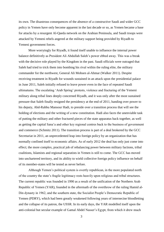its own. The disastrous consequences of the absence of a constructive Saudi and wider GCC policy in Yemen have only become apparent in the last decade or so, as Yemen became a base for attacks by a resurgent Al-Qaeda network on the Arabian Peninsula, and Saudi troops were attacked by Yemeni rebels angered at the military support being provided by Riyadh to Yemeni government forces.

More worryingly for Riyadh, it found itself unable to influence the internal power balance definitively as President Ali Abdullah Saleh's power ebbed away. This was a break with the decisive role played by the Kingdom in the past. Saudi officials were outraged that Saleh had tried to trick them into bombing his rival within the ruling elite, the military commander for the northwest, General Ali Mohsen al-Ahmar (Walker 2011). Despite receiving treatment in Riyadh for wounds sustained in an attack upon the presidential palace in June 2011, Saleh initially refused to leave power even in the face of repeated Saudi ultimatums. The escalating 'Arab Spring' protests, violence and fracturing of the Yemeni military along tribal lines deeply concerned Riyadh, and it was only after the most sustained pressure that Saleh finally resigned the presidency at the end of 2011, handing over power to his deputy, Abd-Rabbu Mansour Hadi, to preside over a transition process that will see the holding of elections and the writing of a new constitution. Hadi also faces the unenviable task of putting the military and other fractured pieces of the state apparatus back together, as well as getting the capital Sana'a and other key regional centres back to the business of government and commerce (Schmitz 2011). The transition process is part of a deal brokered by the GCC Secretariat in 2011, an unprecedented leap into foreign policy by an organization that has normally confined itself to economic affairs. As of early 2012 the deal has only just come into effect; the more complex, practical job of rebalancing power between military factions, tribal coalitions, Islamists and regional separatists in Yemen is still to come. The GCC has moved into unchartered territory, and its ability to wield collective foreign policy influence on behalf of its member-states will be tested as never before.

Although Yemen's political system is overtly republican, in the more populated north of the country the state's fragile legitimacy rests heavily upon religious and tribal structures. The current republic was founded in 1990 as a result of the unification of the Northern Arab Republic of Yemen (YAR), founded in the aftermath of the overthrow of the ruling Hamid al-Din dynasty in 1962, and the southern state, the Socialist People's Democratic Republic of Yemen (PDRY), which had been greatly weakened following years of internecine bloodletting and the collapse of its patron, the USSR. In its early days, the YAR modelled itself upon the anti-colonial but secular example of Gamal Abdel Nasser's Egypt, from which it drew much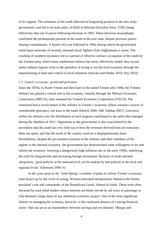of its support. The weakness of the south affected its bargaining position in the new unity government, and led to its main party, al-Hizb al-Ishtiraki (Socialist Party, YSP), being effectively shut out of power following elections in 1993. These elections resoundingly confirmed the predominant position of the north in the new state, despite previous powersharing commitments. A brutal civil war followed in 1994, during which the government relied upon networks of recently returned *jihadi* fighters from Afghanistan to assist. The crushing of southern resistance led to a period of effective military occupation of the south by the Yemeni army which many southerners believe has never effectively ended; they accuse senior military figures close to the president of trying to run the local economy through the requisitioning of land and control of local industries (Stracke and Haidar 2010; Day 2010).

#### *1.1. Yemen's economy: greed and grievance*

Since the 1970s, in North Yemen and then later in the united Yemen after 1994, the Yemeni military has played a central role in the economy, initially through the Military Economic Corporation (MECO), later renamed the Yemeni Economic Corporation (YECO). The continued heavy involvement of the military in Yemen's economic affairs remains a source of considerable grievance, not least in the south (Dresch 2000: 208; Siddiqa 2007). Grievance within the military over the distribution of such largesse contributed to the splits that emerged during the rebellion of 2011. Opposition to the government is also exacerbated by the perception that the south has very little say in how the revenues derived from oil extraction there are spent, and that the north of the country receives a disproportionate share. Nevertheless, despite the pre-eminent position of the military and other members of the regime in the national economy, the government has demonstrated some willingness to try and reform the economy, lowering a dangerously high inflation rate in the early 1990s, stabilizing the riyal for long periods and increasing foreign investment. Because of weak national integration, 'good policies at the national level can be undone by bad policies at the local and regional levels' (Ghoneim 2006: 6)

In the years prior to the 'Arab Spring' a number of plans to reform Yemen's economy were drawn up by the circle of young, Western-educated entrepreneurs linked to the former president's son and commander of the Republican Guard, Ahmed al-Saleh. These were often thwarted by rural tribal leaders whose interests are better served by old ways of patronage or who demand a large share of any ambitious economic project. One of the most significant failures in managing the economy, however, is the continued absence of a strong financial sector 'that can act as an intermediary between savings and investments' (Burgat and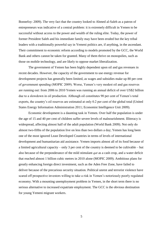Bonnefoy: 2009). The very fact that the country looked to Ahmed al-Saleh as a patron of entrepreneurs was indicative of a central problem: it is extremely difficult in Yemen to be successful without access to the power and wealth of the ruling elite. Today, the power of former President Saleh and his immediate family may have been eroded but the key tribal leaders with a traditionally powerful say in Yemeni politics are, if anything, in the ascendant. Their commitment to economic reform according to models promoted by the GCC, the World Bank and others cannot be taken for granted. Many of them thrive on monopolies, such as those on mobile technology, and are likely to oppose market liberalization.

The government of Yemen has been highly dependent upon oil and gas revenues in recent decades. However, the capacity of the government to use energy revenue for development projects has generally been limited, as wages and subsidies make up 80 per cent of government spending (MOPIC 2009). Worse, Yemen's very modest oil and gas reserves are running out: from 2006 to 2010 Yemen was running an annual deficit of over US\$2 billion due to a slowdown in oil production. Although oil constitutes 90 per cent of Yemen's total exports, the country's oil reserves are estimated at only 0.2 per cent of the global total (United States Energy Information Administration 2011; Economist Intelligence Unit 2009).

Economic development is a daunting task in Yemen. Over half the population is under the age of 15 and 40 per cent of children suffer severe levels of malnourishment. Illiteracy is widespread, affecting almost half of the adult population (World Bank 2009). Not only do almost two-fifths of the population live on less than two dollars a day; Yemen has long been one of the most ignored Least Developed Countries in terms of levels of international development and humanitarian aid assistance. Yemen imports almost all of its food because of a limited agricultural capacity – only 3 per cent of the country is deemed to be cultivable – but also because of the preponderance of the mild stimulant *qat* as a cash crop, and a water deficit that reached almost 1 billion cubic metres in 2010 alone (MOPIC 2009). Ambitious plans for greatly enhancing foreign direct investment, such as the Aden Free Zone, have failed to deliver because of the precarious security situation. Political unrest and terrorist violence have scared off prospective investors willing to take a risk in Yemen's notoriously poorly regulated economy. With a mounting unemployment problem in Yemen, in the short term there is no serious alternative to increased expatriate employment. The GCC is the obvious destination for young Yemeni migrant workers.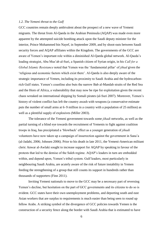#### *1.2. The Yemeni threat to the Gulf*

GCC countries remain deeply ambivalent about the prospect of a new wave of Yemeni migrants. The threat from Al-Qaeda in the Arabian Peninsula (AQAP) was made even more apparent by the attempted suicide bombing attack upon the Saudi deputy minister for the interior, Prince Mohammed bin Nayef, in September 2009, and by shoot-outs between Saudi security forces and AQAP affiliates within the Kingdom. The governments of the GCC are aware of Yemen's important role within a diminished Al-Qaeda global network. Al-Qaeda's leading strategist, Abu Mus'ab al-Suri, a Spanish citizen of Syrian origin, in his *Call for a Global Islamic Resistance* noted that Yemen was the 'fundamental pillar' of *jihad* given the 'religious and economic factors which exist there'. Al-Qaeda is also deeply aware of the strategic importance of Yemen, including its proximity to Saudi Arabia and the hydrocarbonrich Gulf states. Yemen's coastline also buts the narrow Bab al-Mandab straits of the Red Sea and the Horn of Africa, a vulnerability that may now be ripe for exploitation given the recent chaos wreaked on international shipping by Somali pirates (al-Suri 2007). Moreover, Yemen's history of violent conflict has left the country awash with weapons (a conservative estimate puts the number of small arms at 6–9 million in a country with a population of 25 million) as well as a plentiful supply of explosives (Miller 2003).

The tolerance of the Yemeni government towards some *jihadi* networks, as well as the partial turning of a blind eye towards the recruitment of Yemenis to fight against coalition troops in Iraq, has precipitated a 'blowback' effect as a younger generation of *jihadi* volunteers have now taken up a campaign of insurrection against the government in Sana'a (al-Jadabi, 2006; Johnsen 2006). Prior to his death in late 2011, the Yemeni-American militant cleric Anwar al-Awlaki sought to increase support for AQAP by speaking in favour of the protests that led to the demise of the Saleh regime. AQAP's leaders in turn are embedded within, and depend upon, Yemen's tribal system. Gulf leaders, most particularly in neighbouring Saudi Arabia, are acutely aware of the risk of future instability in Yemen feeding the strengthening of a group that still counts its support in hundreds rather than thousands of supporters (Finn 2011).

Inviting Yemeni nationals to move to the GCC may be a necessary part of reversing Yemen's decline, but hesitation on the part of GCC governments and its citizens to do so is evident. GCC states have their own unemployment problems, and deporting south and east Asian workers that are surplus to requirements is much easier than being seen to round up fellow Arabs. A striking symbol of the divergence of GCC policies towards Yemen is the construction of a security fence along the border with Saudi Arabia that is estimated to have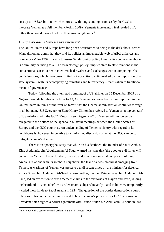cost up to US\$3.5 billion, which contrasts with long-standing promises by the GCC to integrate Yemen as a full member (Peskin 2009). Yemenis increasingly feel 'sealed off', rather than bound more closely to their Arab neighbours.<sup>3</sup>

#### **2. SAUDI ARABIA: A 'SPECIAL RELATIONSHIP'**

The United States and Europe have long been accustomed to being in the dark about Yemen. Many diplomats admit that they find its politics an impenetrable web of tribal alliances and grievance (Miles 1997). Trying to assess Saudi foreign policy towards its southern neighbour is a similarly daunting task. The term 'foreign policy' implies state-to-state relations in the conventional sense, rather than entrenched rivalries and exchanges within competing tribal confederations, which have been limited but not entirely extinguished by the imposition of a state system – with its accompanying ministries and bureaucracy – that is alien to traditional means of governance.

Today, following the attempted bombing of a US airliner on 25 December 2009 by a Nigerian suicide bomber with links to AQAP, Yemen has never been more important to the United States in terms of the 'war on terror' that the Obama administration continues to wage in all but name. US Secretary of State Hilary Clinton has referred to Yemen as 'a top concern' of US relations with the GCC (Kuwait News Agency 2010). Yemen will no longer be relegated to the bottom of the agenda in bilateral meetings between the United States or Europe and the GCC countries. An understanding of Yemen's history with regard to its neighbours is, however, imperative to an informed discussion of what the GCC can do to mitigate Yemen's decline.

There is an apocryphal story that while on his deathbed, the founder of Saudi Arabia, King Abdulaziz bin Abdulrahman Al-Saud, warned his sons that 'the good or evil for us will come from Yemen'. Even if untrue, this tale underlines an essential component of Saudi Arabia's relations with its southern neighbour: the fear of a possible threat emerging from Yemen. A wariness of Yemen was preserved until recent times by the minister for defence, Prince Sultan bin Abdulaziz Al-Saud, whose brother, the then Prince Faisal bin Abdulaziz Al-Saud, led an expedition to crush Yemeni claims to the territories of Najran and Jazin, raiding the heartland of Yemen before its ruler Imam Yahya reluctantly – and in his view temporarily – ceded these lands to Saudi Arabia in 1934. The question of the border demarcation soured relations between the two countries and hobbled Yemen's prospects for GCC accession until President Saleh signed a border agreement with Prince Sultan bin Abdulaziz Al-Saud in 2000.

-

<sup>&</sup>lt;sup>3</sup> Interview with a senior Yemeni official, Sana'a, 17 August 2009.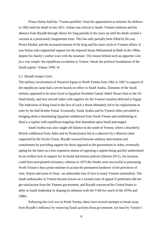Prince Sultan held the 'Yemen portfolio' from his appointment as minister for defence in 1962 until his death in late 2011. Sultan was critical to Saudi–Yemeni relations and his absence from Riyadh through illness for long periods in the years up until his death created a vacuum at a particularly inopportune time. This has only partially been filled by his son, Prince Khalid, and the increased interest of the king and his inner circle in Yemeni affairs. It was Sultan who engineered support for the deposed Imam Mohammed al-Badr in the 1960s, despite his family's earlier wars with the imamate. The reason behind such an apparent *volte face* was simple: the republican revolution in Yemen 'shook the political foundations of the Saudi regime' (Gause 1990: 4).

#### *2.1. Riyadh trumps Cairo*

The military involvement of Nasserist Egypt in North Yemen from 1962 to 1967 in support of the republican cause had a severe knock-on effect in Saudi Arabia. Elements of the Saudi military appeared to be more loyal to Egyptian President Gamal Abdel Nasser than to the Al-Saud family, and four aircraft laden with supplies for the Yemeni royalists defected to Egypt. The indecision of King Saud in the face of such a threat ultimately led to his replacement as ruler by his half-brother Faisal. Eventually, Saudi Arabia and its Yemeni allies prevailed in bringing about a humiliating Egyptian withdrawal from North Yemen and establishing in Sana'a a regime with republican trappings (but dependent upon Saudi patronage).

Saudi Arabia was also caught off balance in the south of Yemen, where a disorderly British withdrawal from Aden and its Protectorates led to a takeover by a Marxist cabal supported by the Soviet Union. Riyadh wavered between military intervention and containment by providing support for those opposed to the government in Aden, eventually opting for the latter as a less expensive means of opposing a regime being quickly undermined by an evident lack of support for its brutal doctrinaire policies (Horton 2011). An invasion could have precipitated resistance, whereas in 1973 the Saudis were successful in pressuring North Yemen's then prime minister to accept the permanent handover of the provinces of Asir, Najran and areas of Jizan –an unbearable loss of face to many Yemeni nationalists. The Saudi ambassador in Yemen became known as a second court of appeal if petitioners did not get satisfaction from the Yemeni government, and Riyadh convinced the United States to defer to Saudi leadership in shaping its relations with the YAR for much of the 1970s and 1980s.

Following the civil war in North Yemen, there were several attempts to break away from Riyadh's influence by removing Saudi acolytes from government, not least by Yemen's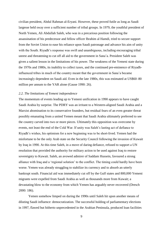civilian president, Abdul Rahman al-Eryani. However, these proved futile as long as Saudi largesse held sway over a sufficient number of tribal groups. In 1979, the youthful president of North Yemen, Ali Abdullah Saleh, who was in a precarious position following the assassination of his predecessor and fellow officer Ibrahim al Hamdi, tried to secure support from the Soviet Union to ease his reliance upon Saudi patronage and advance his aim of unity with the South. Riyadh's response was swift and unambiguous, including encouraging tribal unrest and threatening to cut off all aid to the government in Sana'a. President Saleh was given a salient lesson in the limitations of his power. The weakness of the Yemeni state during the 1970s and 1980s, its inability to collect taxes, and the continued pre-eminence of Riyadhinfluenced tribes in much of the country meant that the government in Sana'a became increasingly dependent on Saudi aid. Even in the late 1980s, this was estimated at US\$60–80 million per annum to the YAR alone (Gause 1990: 26).

#### *2.2. The limitations of Yemeni independence*

The momentum of events leading up to Yemeni unification in 1990 appears to have caught Saudi Arabia by surprise. The PDRY was an irritant to a Western-aligned Saudi Arabia and a Marxist abomination to its conservative founders, but residual fears of an even greater threat possibly emanating from a united Yemen meant that Saudi Arabia ultimately preferred to see the country carved into two or more pieces. Ultimately this opposition was overcome by events, not least the end of the Cold War. If unity was Saleh's lasting act of defiance to Riyadh's wishes, his optimism for a new beginning was to be short-lived. Yemen had the misfortune to be the only Arab state on the Security Council following the invasion of Kuwait by Iraq in 1990. At this time Saleh, in a move of daring defiance, refused to support a UN resolution that provided the authority for military action to be used against Iraq to restore sovereignty to Kuwait. Saleh, an avowed admirer of Saddam Hussein, favoured a strong alliance with Iraq and a 'regional solution' to the conflict. The timing could hardly have been worse. Yemen was already struggling to stabilize its currency and to absorb an utterly bankrupt south. Financial aid was immediately cut off by the Gulf states and 800,000 Yemeni migrants were expelled from Saudi Arabia as well as thousands more from Kuwait; a devastating blow to the economy from which Yemen has arguably never recovered (Dresch 2000: 186).

Yemen somehow limped on during the 1990s until Saleh hit upon another means of diluting Saudi influence: democratization. The successful holding of parliamentary elections in 1997, flawed but hitherto unprecedented in the Arabian Peninsula, produced loan facilities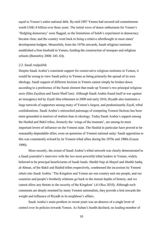equal to Yemen's entire national debt. By mid-1997 Yemen had secured aid commitments worth US\$1.8 billion over three years. The initial wave of donor enthusiasm for Yemen's 'fledgling democracy' soon flagged, as the limitations of Saleh's experiment in democracy became clear, and the country went back to being a relative afterthought in most states' development budgets. Meanwhile, from the 1970s onwards, Saudi religious institutes established a firm foothold in Yemen, funding the construction of mosques and religious schools (Bonnefoy 2008: 245–63).

#### *2.3. Saudi realpolitik*

Despite Saudi Arabia's consistent support for conservative religious institutes in Yemen, it would be wrong to view Saudi policy in Yemen as being primarily the spread of its own ideology. Saudi support of different factions in Yemen cannot simply be broken down according to a preference of the Sunni element that made up Yemen's two principal religious sects (Shia Zaydism and Sunni Shafi'ism). Although Saudi Arabia found itself at war against an insurgency led by Zaydi Shia tribesmen in 2009 and early 2010, Riyadh also maintains a large network of supporters among many of Yemen's largest, and predominantly Zaydi, tribal confederations. Saudi Arabia's entrenched patronage of competing Yemeni factions has been more grounded in motives of realism than in ideology. Today Saudi Arabia's support among the Hashid and Bakil tribes, formerly the 'wings of the imamate', are among its most important levers of influence on the Yemeni state. The Hashid in particular have proved to be reasonably dependable allies, even on questions of Yemeni national unity: Saudi opposition to this was consistently echoed by its Yemeni tribal allies during the 1970s and 1980s (Gause 1990).

More recently, the extent of Saudi Arabia's tribal network was clearly demonstrated in a Saudi journalist's interview with the two most powerful tribal leaders in Yemen, widely believed to be principal beneficiaries of Saudi funds. Sheikh Naji al-Shayef and Sheikh Sadiq al-Ahmar, of the Bakil and Hashid tribes respectively, condemned the incursions by Yemeni rebels into Saudi Arabia: 'The Kingdom and Yemen are one country and one people, and our countries and people's brotherly relations go back to the eternal depths of history, and we cannot allow any threats to the security of the Kingdom' (*Al-Okaz* 2010). Although such comments are deeply resented by many Yemeni nationalists, they provide a hint towards the weight and influence of Riyadh in its neighbour's affairs.

Saudi Arabia's main problem in recent years was an absence of a single lever of control over its policies towards Yemen. As Sultan's health declined, no leading member of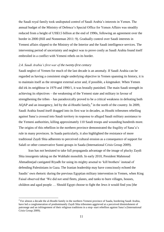the Saudi royal family took undisputed control of Saudi Arabia's interests in Yemen. The annual budget of the Ministry of Defence's Special Office for Yemen Affairs was steadily reduced from a height of US\$3.5 billion at the end of 1990s, following an agreement over the border in 2000 (Hill and Nonneman 2011: 9). Gradually control over Saudi interests in Yemeni affairs slipped to the Ministry of the Interior and the Saudi intelligence services. The intervening period of uncertainty and neglect was to prove costly as Saudi Arabia found itself embroiled in a conflict with Yemeni rebels on its border.

#### *2.4. Saudi Arabia's first war of the twenty-first century*

1

Saudi neglect of Yemen for much of the last decade is an anomaly. If Saudi Arabia can be regarded as having a consistent single underlying objective in Yemen spanning its history, it is to maintain itself as the strongest external actor and, if possible, a kingmaker. When Yemen did irk its neighbour in 1979 and 1990/1, it was brutally punished. The main Saudi strength in achieving its objectives – the weakening of the Yemeni state and military in favour of strengthening the tribes – has paradoxically proved to be a critical weakness in defeating both AQAP and an insurgency, led by the al-Houthi family,<sup>4</sup> in the north of the country. In 2009, Saudi Arabia found itself dragged into its first war in decades, as Houthi tribesmen rebelling against Sana'a crossed into Saudi territory in response to alleged Saudi military assistance to the Yemeni authorities, killing approximately 110 Saudi troops and wounding hundreds more. The origins of this rebellion in the northern province demonstrated the fragility of Sana'a's rule in many provinces. In Saada particularly, it also highlighted the resistance of more traditional Zaydi Shia adherents to perceived cultural erosion as a consequence of support for Salafi or other conservative Sunni groups in Saada (International Crisis Group 2009).

Iran has not hesitated to take full propaganda advantage of the image of plucky Zaydi Shia insurgents taking on the Wahhabi monolith. In early 2010, President Mahmoud Ahmadinejad castigated Riyadh for using its mighty arsenal to 'kill brothers' instead of defending Palestinians in Gaza. The Iranian leadership may have consciously echoed the Saudis' own rhetoric during the previous Egyptian military intervention in Yemen, when King Faisal observed that 'We did not send fleets, planes, and tanks to burn villages, houses, children and aged people … Should Egypt choose to fight the Jews it would find you [the

<sup>&</sup>lt;sup>4</sup> For almost a decade the al-Houthi family in the northern Yemeni province of Saada, bordering Saudi Arabia, have led a conglomeration of predominantly Zaydi Shia tribesmen aggrieved at a perceived diminishment of patronage and an infringement of their religious traditions in a stop–start rebellion against Sana'a (International Crisis Group 2009).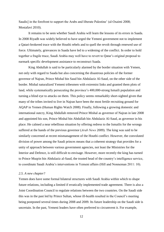Saudis] in the forefront to support the Arabs and liberate Palestine' (al-Osaimi 2008; Mostafavi 2010).

It remains to be seen whether Saudi Arabia will learn the lessons of its errors in Saada. In 2008 Riyadh was widely believed to have urged the Yemeni government not to implement a Qatari-brokered truce with the Houthi rebels and to quell the revolt through renewed use of force. Ultimately, grievances in Saada have led to a widening of the conflict. In order to hold together a fragile truce, Saudi Arabia may well have to revert to Qatar's original proposal to earmark specific development assistance to reconstruct Saada.

King Abdullah is said to be particularly alarmed by the border situation with Yemen, not only with regard to Saada but also concerning the disastrous policies of the former governor of Najran, Prince Mishal bin Saud bin Abdulaziz Al-Saud, on the other side of the border. Mishal naturalized Yemeni tribesmen with extremist links and granted them plots of land, while systematically persecuting the province's 400,000-strong Ismaili population and turning a blind eye to attacks on them. This policy seems remarkably short-sighted given that many of the tribes invited to live in Najran have been the most fertile recruiting ground for AQAP in Yemen (Human Rights Watch 2008). Finally, following a growing domestic and international outcry, King Abdullah removed Prince Mishal as governor of Najran in late 2008 and appointed his son, Prince Mishal bin Abdullah bin Abdulaziz Al-Saud, as governor in his place. He calmed a near rebellious situation by offering redress to the Ismailis for the wrongs suffered at the hands of the previous governor (*Arab News* 2009). The king was said to be similarly concerned at recent mismanagement of the Houthi conflict. However, the convoluted division of power among the Saudi princes means that a coherent strategy that provides for a unity of approach between various government agencies, not least the Ministries for the Interior and Defence, is still difficult to envisage. However, more recently the king has turned to Prince Muqrin bin Abdulaziz al-Saud, the trusted head of the country's intelligence service, to coordinate Saudi Arabia's interventions in Yemeni affairs (Hill and Nonneman 2011: 10).

#### *2.5. A new chapter?*

Yemen does have some formal bilateral structures with Saudi Arabia within which to shape future relations, including a limited if erratically implemented trade agreement. There is also a Joint Coordination Council to regulate relations between the two countries. On the Saudi side this was in the past led by Prince Sultan, whose ill-health resulted in the Council's meeting being postponed several times during 2008 and 2009. Its future leadership on the Saudi side is uncertain. In the past, Yemeni leaders have often preferred to circumvent it. For example,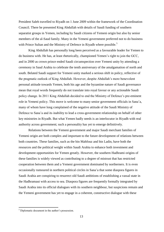President Saleh travelled to Riyadh on 1 June 2009 within the framework of the Coordination Council. There he presented King Abdullah with details of Saudi funding of southern separatist groups in Yemen, including by Saudi citizens of Yemeni origin but also by senior members of the al-Saud family. Many in the Yemeni government preferred not to do business with Prince Sultan and the Ministry of Defence in Riyadh where possible.<sup>5</sup>

King Abdullah has personally long been perceived as a favourable leader for Yemen to do business with. He has, at least rhetorically, championed Yemen's right to join the GCC, and in 2000 as crown prince ended Saudi circumspection over Yemeni unity by attending a ceremony in Saud Arabia to celebrate the tenth anniversary of the amalgamation of north and south. Belated Saudi support for Yemeni unity marked a serious shift in policy, reflective of the pragmatic outlook of King Abdullah. However, despite Abdullah's more benevolent personal attitude towards Yemen, both his age and the byzantine nature of Saudi governance mean that royal words frequently do not translate into royal favour or any actionable Saudi policy change. In 2011 King Abdullah decided to end the Ministry of Defence's pre-eminent role in Yemeni policy. This move is welcome to many senior government officials in Sana'a, many of whom have long complained of the negative attitude of the Saudi Ministry of Defence to Sana'a and its inability to lead a cross-government relationship on behalf of other key ministries in Riyadh. But what Yemen badly needs is an interlocutor in Riyadh with real authority across government; such a personality has yet to emerge definitively.

Relations between the Yemeni government and major Saudi merchant families of Yemeni origin are both complex and important to the future development of relations between both countries. These families, such as the bin Mahfouz and bin Ladin, have both the resources and the political weight within Saudi Arabia to enhance both investment and development opportunities for Yemen greatly. However, the southern Hadhrami origins of these families is widely viewed as contributing to a degree of mistrust that has restricted cooperation between them and a Yemeni government dominated by northerners. It is even occasionally rumoured in northern political circles in Sana'a that some diaspora figures in Saudi Arabia are conspiring to resurrect old Saudi ambitions of establishing a vassal state in the Hadhramaut with access to sea. Diaspora figures are frequently formally integrated by Saudi Arabia into its official dialogues with its southern neighbour, but suspicions remain and the Yemeni government has yet to engage in a coherent, constructive dialogue with these

-

<sup>5</sup> Diplomatic document in the author's possession.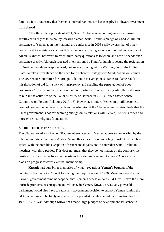families. It is a sad irony that Yemen's internal regionalism has conspired to thwart investment from abroad.

After the violent protests of 2011, Saudi Arabia is now coming under increasing scrutiny with regard to its policy towards Yemen. Saudi Arabia's pledge of US\$1.25 billion assistance to Yemen at an international aid conference in 2006 easily dwarfs that of other donors, and its assistance via unofficial channels is much greater over the past decade. Saudi Arabia is known, however, to resent third-party questions as to where and how it spends such assistance greatly. Although repeated interventions by King Abdullah to secure the resignation of President Saleh were appreciated, voices are growing within Washington for the United States to take a firm stance on the need for a coherent strategy with Saudi Arabia on Yemen. The US Senate Committee for Foreign Relations has even gone so far as to blame Saudi misallocation of aid for 'a lack of transparency and enabling the perpetuation of poor governance'. Such complaints are said to have partially influenced King Abdullah's decision to rein in the activities of the Saudi Ministry of Defence in 2010 (United States Senate Committee on Foreign Relations 2010: 15). However, in future Yemen may still become a point of contention between Riyadh and Washington if the Obama administration feels that the Saudi government is not forthcoming enough on its relations with Sana'a, Yemen's tribes and more extremist religious foundations.

#### **3. THE 'OTHER FIVE' AND YEMEN**

The bilateral relations of other GCC member-states with Yemen appear to be dwarfed by the relative importance of Saudi Arabia. As in other areas of foreign policy, most GCC memberstates (with the possible exception of Qatar) are at pains not to contradict Saudi Arabia in meetings with third parties. This does not mean that they do not matter: on the contrary, the hesitancy of the smaller five member-states to welcome Yemen into the GCC is a critical block on progress towards eventual membership.

**Kuwait** harbours bitter memories of what it regards as Yemen's betrayal of the country in the Security Council following the Iraqi invasion of 1990. More importantly, the Kuwaiti government remains sceptical that Yemen's accession to the GCC will solve the more intrinsic problems of corruption and violence in Yemen. Kuwait's relatively powerful parliament would also have to ratify any government decision to support Yemen joining the GCC, which would be likely to give way to a populist backlash amid recrimination for the 1990–1 Gulf War. Although Kuwait has made large pledges of development assistance to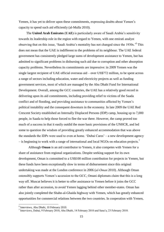Yemen, it has yet to deliver upon these commitments, expressing doubts about Yemen's capacity to spend such aid efficiently (al-Mulla 2010).

The **United Arab Emirates** (**UAE)** is particularly aware of Saudi Arabia's sensitivity towards its leadership role in the region with regard to Yemen, with one emirati analyst observing that on this issue, 'Saudi Arabia's mentality has not changed since the 1930s.'<sup>6</sup> This does not mean that the UAE is indifferent to the problems of its neighbour. The UAE federal government has consistently pledged large sums of development assistance to Yemen, but has admitted to significant problems in disbursing such aid due to corruption and other absorption capacity problems. Nevertheless its commitments are impressive: in 2009 Yemen was the single largest recipient of UAE official overseas aid – over US\$772 million, to be spent across a range of sectors including education, water and electricity projects as well as funding government services, most of which are managed by the Abu Dhabi Fund for International Development. Overall, among the GCC countries, the UAE has a relatively good record in delivering upon its aid commitments, including providing relief to victims of the Saada conflict and of flooding, and providing assistance to communities affected by Yemen's political instability and the consequent downturn in the economy. In late 2009 the UAE Red Crescent Society established an Internally Displaced Persons (IDP) camp, housing up to 7,000 people, in Saada to help those forced to flee the war there. However, the camp proved too much of a success in that it easily outdid the more basic provisions of the UNHCR, and led some to question the wisdom of providing greatly enhanced accommodation that was above the standards the IDPs were used to even at home. 'Dubai Cares' – a new development agency  $-$  is beginning to work with a range of international and local NGOs on education projects.<sup>7</sup>

Although **Oman** is an aid contributor to Yemen, it also competes with Yemen for a share of assistance from regional organizations. Despite seeking support for its own development, Oman is committed to a US\$100 million contribution for projects in Yemen, but these funds have been exceptionally slow in terms of disbursement since this original undertaking was made at the London conference in 2006 (*al-Oman* 2010). Although Oman ostensibly supports Yemen's accession to the GCC, Omani diplomats claim that this is a long way off. Muscat believes it is better to offer assistance to Yemen before it joins the GCC rather than after accession, to avoid Yemen lagging behind other member-states. Oman has also jointly completed the Shahn-al-Ghaida highway with Yemen, which has greatly enhanced opportunities for commercial relations between the two countries. In cooperation with Yemen,

 6 Interviews, Abu Dhabi, 10 February 2010.

<sup>7</sup> Interviews, Dubai, 9 February 2010, Abu Dhabi, 14 February 2010 and Sana'a, 23 February 2010.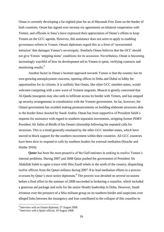Oman is currently developing a far-sighted plan for an al-Mazunah Free Zone on the border of both countries. Oman has signed over seventy-six agreements on bilateral cooperation with Yemen, and officials in Sana'a have expressed their appreciation of Oman's efforts to keep Yemen on the GCC agenda. However, this assistance does not seem to apply to enabling governance reform in Yemen. Omani diplomats regard this as a form of 'unwarranted intrusion' that damages Yemen's sovereignty. Similarly Oman believes that the GCC should not give Yemen 'stepping-stone' conditions for its accession. Nevertheless, Oman is becoming increasingly watchful of how its development aid to Yemen is spent, verifying contracts and monitoring results.<sup>8</sup>

Another factor in Oman's hesitant approach towards Yemen is that the country has its own growing unemployment concerns, opening offices in Doha and Dubai to lobby for opportunities for its citizens. It is unlikely that Oman, like other GCC member-states, would welcome competing with a new wave of Yemeni migrants. Muscat is greatly concerned that Al-Qaeda insurgents may also seek to infiltrate across its border with Yemen, and has stepped up security arrangements in coordination with the Yemeni government. So far, however, the Omani government has avoided making pronouncements on building elaborate structures akin to the border fence mooted by Saudi Arabia. Oman has been supportive of President Saleh's requests for assistance with regard to southern separatist movements, stripping former PDRY President Ali Salim al-Beidh of his Omani citizenship following his repeated calls for secession. This is a trend generally emulated by the other GCC member-states, which have moved to block support for the southern movement within their countries. All GCC countries have been slow to respond to calls by southern leaders for external mediation (Stracke and Haidar 2010).

**Qatar** has been the most proactive of the Gulf emirates in seeking to resolve Yemen's internal problems. During 2007 and 2008 Qatar pushed the government of President Ali Abdullah Saleh to agree a truce with Shia Zaydi rebels in the north of the country, dispatching twelve officers from the Qatari military during 2007–8 to lead mediation efforts in a process overseen by Qatar's most senior diplomats.<sup>9</sup> The process was derailed on several occasions before a final effort in the summer of 2008 succeeded in brokering a ceasefire, which included a generous aid package and exile for the senior Houthi leadership in Doha. However, Saudi irritation over the presence of a Shia militant group on its southern border and suspicions over alleged links between the insurgency and Iran contributed to the collapse of this ceasefire in

<sup>&</sup>lt;sup>8</sup> Interview with an Omani diplomat, 27 August 2008.

<sup>&</sup>lt;sup>9</sup> Interview with a Qatari official, 29 August 2008.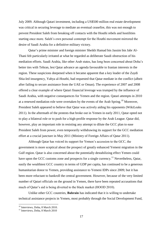July 2009. Although Qatari investment, including a US\$500 million real estate development was critical in securing leverage to mediate an eventual ceasefire, this was not enough to prevent President Saleh from breaking off contacts with the Houthi rebels and hostilities starting once more. Saleh's own personal contempt for the Houthi movement mirrored the desire of Saudi Arabia for a definitive military victory.

Qatar's prime minister and foreign minister Sheikh Hamad bin Jassim bin Jabr Al-Thani felt particularly irritated at what he regarded as deliberate Saudi obstruction of his mediation efforts. Saudi Arabia, like other Arab states, has long been concerned about Doha's better ties with Tehran, lest Qatar advance an agenda favourable to Iranian interests in the region. These suspicions deepened when it became apparent that a key leader of the Zaydi Shia-led insurgency, Yahya al-Houthi, had requested that Qatar mediate in the conflict (albeit after failing to secure assistance from the UAE or Oman). The experience of 2007 and 2008 offered a clear example of where Qatari financial leverage was trumped by the influence of Saudi Arabia, with negative consequences for Yemen and the region. Qatari attempts in 2010 at a renewed mediation role were overtaken by the events of the Arab Spring.<sup>10</sup> Moreover, President Saleh appeared to believe that Qatar was actively aiding his opponents (WikiLeaks 2011). In the aftermath of the protests that broke out in Yemen in early 2011, Qatar opted not to play a bilateral role or to push for a high-profile response by the Arab League. Qatar did, however, play an important role in resisting any attempt to dilute the GCC plan to ease President Saleh from power, even temporarily withdrawing its support for the GCC mediation effort at a crucial juncture in May 2011 (Ministry of Foreign Affairs of Qatar 2011).

Although Qatar has voiced its support for Yemen's accession to the GCC, the government is more sceptical about the prospect of greatly enhanced Yemeni migration in the Gulf region. Qatar is also concerned about the potentially destabilizing effect Yemen could have upon the GCC customs zone and prospects for a single currency.<sup>11</sup> Nevertheless, Qatar, easily the wealthiest GCC country in terms of GDP per capita, has continued to be a generous humanitarian donor to Yemen, providing assistance to Yemeni IDPs since 2009; but it has been more reluctant to bankroll the central government. However, because of the very limited number of Qatari officials on the ground in Yemen, there have been repeated accusations that much of Qatar's aid is being diverted to the black market (HOOD 2010).

Unlike other GCC countries, **Bahrain** has indicated that it is willing to undertake technical assistance projects in Yemen, most probably through the Social Development Fund,

<u>.</u>

<sup>&</sup>lt;sup>10</sup> Interviews, Doha, 8 March 2010.

 $11$  Interviews, Doha, 8 March 2010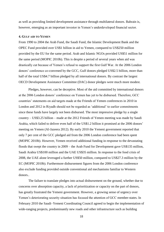as well as providing limited development assistance through multilateral donors. Bahrain is, however, emerging as an important investor in Yemen's underdeveloped financial sector.

#### **4. GULF AID TO YEMEN**

From 1990 to 2004 the Arab Fund, the Saudi Fund, the Islamic Development Bank and the OPEC Fund provided over US\$1 billion in aid to Yemen, compared to US\$250 million provided by the EU for the same period. Arab and Islamic NGOs provided US\$51 million for the same period (MOPIC 2010b). This is despite a period of several years when aid was drastically cut because of Yemen's refusal to support the first Gulf War. At the 2006 London donors' conference co-convened by the GCC, Gulf donors pledged US\$2.5 billion, more than half of the total US\$4.7 billion pledged by all international donors. By contrast the largest OECD Development Assistance Committee (DAC) donor pledges were much more modest.

Pledges, however, can be deceptive. Most of the aid committed by international donors at the 2006 London donors' conference on Yemen has yet to be disbursed. Therefore, GCC countries' statements on aid targets made at the Friends of Yemen conferences in 2010 in London and 2012 in Riyadh should not be regarded as 'additional' to earlier commitments since these funds have largely not been disbursed. The most impressive pledge by a single country – US\$3.25 billion – made at the 2012 Friends of Yemen meeting was made by Saudi Arabia, which failed to deliver even half of the US\$1.2 billion it promised at the 2006 donors' meeting on Yemen (Al-Jazeera 2012). By early 2010 the Yemeni government reported that only 7 per cent of the GCC pledged aid from the 2006 London conference had been spent (MOPIC 2010b). However, Yemen received additional funding in response to the devastating floods that swept the country in 2009 – the Arab Fund for Development gave US\$135 million, Saudi Arabia US\$100 million and the UAE US\$35 million. In response to the food crisis of 2008, the UAE alone leveraged a further US\$50 million, compared to US\$27.3 million by the EC (MOPIC 2010b). Furthermore disbursement figures from the 2006 London conference also exclude funding provided outside conventional aid mechanisms familiar to Western donors..

The failure to translate pledges into actual disbursement on the ground, whether due to concerns over absorption capacity, a lack of prioritization or capacity on the part of donors, has greatly frustrated the Yemeni government. However, a growing sense of urgency over Yemen's deteriorating security situation has focused the attention of GCC member-states. In February 2010 the Saudi–Yemeni Coordinating Council agreed to begin the implementation of wide-ranging projects, predominantly new roads and other infrastructure such as building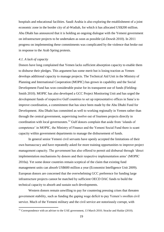hospitals and educational facilities. Saudi Arabia is also exploring the establishment of a joint economic zone in the border city of al-Wadiah, for which it has allocated US\$200 million. Abu Dhabi has announced that it is holding an ongoing dialogue with the Yemeni government on infrastructure projects to be undertaken as soon as possible (al-Dowsh 2010). In 2011 progress on implementing these commitments was complicated by the violence that broke out in response to the Arab Spring protests.

#### *4.1. A lack of capacity*

-

Donors have long complained that Yemen lacks sufficient absorption capacity to enable them to disburse their pledges. This argument has some merit but is losing traction as Yemen develops additional capacity to manage projects. The Technical Aid Unit in the Ministry of Planning and International Cooperation (MOPIC) has grown in capability and the Social Development Fund has won considerable praise for its transparent use of funds (Fielding-Smith 2010). MOPIC has also developed a GCC Project Monitoring Unit and has urged the development funds of respective Gulf countries to set up representative offices in Sana'a to improve coordination, a commitment that has since been made by the Abu Dhabi Fund for Development. Abu Dhabi has committed as well to working regionally in Yemen rather than through the central government, supervising twelve out of fourteen projects directly in coordination with local governorates.<sup>12</sup> Gulf donors complain that aside from 'islands of competence' in MOPIC, the Ministry of Finance and the Yemeni Social Fund there is scant capacity within government departments to manage the disbursement of funds.

In general senior Yemeni civil servants have openly accepted the limitations of their own bureaucracy and have repeatedly asked for more training opportunities to improve project management capacity. The government has also offered to permit aid disbursal through 'direct implementation mechanisms by donors and their respective implementation arms' (MOPIC 2010a). Yet some donor countries remain sceptical of the claim that existing fund management units can absorb US\$600 million a year (Economist Intelligence Unit 2009). European donors are concerned that the overwhelming GCC preference for funding large infrastructure projects cannot be matched by sufficient OECD DAC funds to build the technical capacity to absorb and sustain such developments.

Western donors remain unwilling to pay for countering pressing crises that threaten government stability, such as funding the gaping wage deficit to pay Yemen's swollen civil service. Much of the Yemeni military and the civil service are notoriously corrupt, with

 $12$  Correspondence with an adviser to the UAE government, 13 March 2010; Stracke and Haidar (2010).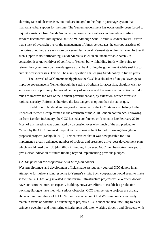alarming rates of absenteeism, but both are integral to the fragile patronage system that maintains tribal support for the state. The Yemeni government has occasionally been forced to request assistance from Saudi Arabia to pay government salaries and maintain existing services (Economist Intelligence Unit 2009). Although Saudi Arabia's leaders are well aware that a lack of oversight overof the management of funds perpetuates the corrupt practices of the status quo, they are even more concerned lest a weak Yemeni state diminish even further if such support is not forthcoming. Saudi Arabia is stuck in an uncomfortable catch-22; corruption is a known driver of conflict in Yemen, but withholding funds while trying to reform the system may be more dangerous than bankrolling the government while seeking to curb its worst excesses. This will be a key question challenging Saudi policy in future years.

The 'carrot' of GCC membership places the GCC in a situation of unique leverage to improve governance in Yemen through the setting of criteria for accession, should it wish to seize such an opportunity. Improved delivery of services and the easing of corruption will do much to improve the writ of the Yemeni government and, by extension, reduce threats to regional security. Reform is therefore the less dangerous option than the status quo.

In addition to bilateral and regional arrangements, the GCC states also belong to the Friends of Yemen Group formed in the aftermath of the 2010 London conference. Following on from London in January, the GCC hosted a conference on Yemen in late February 2010. Most of this meeting was dominated by discussion over why much of the aid pledged to Yemen by the GCC remained unspent and who was at fault for not following through on proposed projects (Mahjoub 2010). Yemen insisted that it was now possible for it to implement a greatly enhanced number of projects and presented a five-year development plan which would need over US\$44 billion in funding. However, GCC member-states have yet to give a clear indication of future funding beyond implementing previous pledges.

#### *4.2. The potential for cooperation with European donors*

Western diplomats and development officials have assiduously courted GCC donors in an attempt to formulate a joint response to Yemen's crisis. Such cooperation would seem to make sense; the GCC has long invested in 'hardware' infrastructure projects while Western donors have concentrated more on capacity building. However, efforts to establish a productive working dialogue have met with serious obstacles. GCC member-state projects are usually above a minimum threshold of US\$20 million, an amount that Western donors can rarely match in terms of potential co-financing of projects. GCC donors are also unwilling to place stringent oversight and monitoring criteria upon aid, often working directly and discreetly with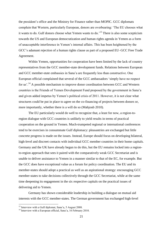the president's office and the Ministry for Finance rather than MOPIC. GCC diplomats complain that Western, particularly European, donors are overbearing: 'The EU chooses what it wants to do. Gulf donors choose what Yemen wants to do.<sup>'13</sup> There is also some scepticism towards the US and European democratization and human rights agenda in Yemen as a form of unacceptable interference in Yemen's internal affairs. This has been heightened by the GCC's adamant rejection of a human rights clause as part of a proposed EU–GCC Free Trade Agreement.

Within Yemen, opportunities for cooperation have been limited by the lack of country representatives from the GCC member-state development funds. Relations between European and GCC member-state embassies in Sana'a are frequently less than constructive. One European official complained that several of the GCC ambassadors 'simply have no respect for us'.<sup>14</sup> A possible mechanism to improve donor coordination between GCC and Western countries is the Friends of Yemen Development Fund proposed by the government in Sana'a and given added impetus by Yemen's political crisis of 2011. However, it is not clear what structures could be put in place to agree on the co-financing of projects between donors or, more importantly, whether there is a will do so (Mahjoub 2010).

The EU particularly would do well to recognize that, a least for now, a region-toregion dialogue with GCC countries is unlikely to yield results in terms of practical cooperation on the ground in Yemen. Much-trumpeted regional or international conferences tend to be exercises in consummate Gulf diplomacy: pleasantries are exchanged but little concrete progress is made on the issues. Instead, Europe should focus on developing bilateral, high-level and discreet contacts with individual GCC member countries in their home capitals. Germany and the UK have already begun to do this, but the EU remains locked into a regionto-region approach that sees it paired with the comparatively weak GCC Secretariat and is unable to deliver assistance to Yemen in a manner similar to that of the EC, for example. But the GCC does have exceptional value as a forum for policy coordination. The EU and its member-states should adopt a practical as well as an aspirational strategy: encouraging GCC member-states to take decisions collectively through the GCC Secretariat, while at the same time deepening its engagement in the six respective capitals on the practical issues of delivering aid to Yemen.

Germany has shown considerable leadership in building a dialogue on mutual aid interests with the GCC member-states. The German government has exchanged high-level

<u>.</u>

 $13$  Interview with a Gulf diplomat, Sana'a, 5 August 2008.

<sup>&</sup>lt;sup>14</sup> Interview with a European official, Sana'a, 16 February 2010.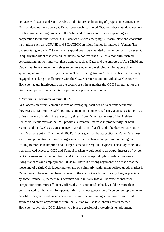contacts with Qatar and Saudi Arabia on the future co-financing of projects in Yemen. The German development agency GTZ has previously partnered GCC member-state development funds in implementing projects in the Sahel and Ethiopia and is now expanding such cooperation to include Yemen. GTZ also works with emerging Gulf semi-state and charitable institutions such as AGFUND and SILATECH on microfinance initiatives in Yemen. The patient dialogue by GTZ to win such support could be emulated by other donors. However, it is equally important that Western countries do not treat the GCC as a monolith, instead concentrating on working with those donors, such as Qatar and the emirates of Abu Dhabi and Dubai, that have shown themselves to be more open to developing a joint approach to spending aid more effectively in Yemen. The EU delegation in Yemen has been particularly engaged in seeking to collaborate with the GCC Secretariat and individual GCC countries. However, actual interlocutors on the ground are thin as neither the GCC Secretariat nor the Gulf development funds maintain a permanent presence in Sana'a.

#### **5. YEMEN AS A MEMBER OF THE GCC?**

GCC accession offers Yemen a means of leveraging itself out of its current economic downward spiral. For the GCC, putting Yemen on a course to reform via an accession process offers a means of stabilizing the security threat from Yemen to the rest of the Arabian Peninsula. Economists at the IMF predict a substantial increase in productivity for both Yemen and the GCC as a consequence of a reduction of tariffs and other border restrictions upon Yemen's entry (Chami et al. 2004). They argue that the absorption of Yemen's almost 25 million population will imply larger markets and enhance competition in the region, leading to more consumption and a larger demand for regional exports. The study concluded that enhanced access to GCC and Yemeni markets would lead to an output increase of 14 per cent in Yemen and 5 per cent for the GCC, with a correspondingly significant increase in living standards and employment (2004: 4). There is a strong argument to be made that the loosening of a rigid Gulf labour market and of a similarly static, monopolized goods market in Yemen would have mutual benefits, even if they do not reach the dizzying heights predicted by some. Ironically, Yemeni businessmen could initially lose out because of increased competition from more efficient Gulf rivals. This potential setback would be more than compensated for, however, by opportunities for a new generation of Yemeni entrepreneurs to benefit from greatly enhanced access to the Gulf market, taking advantage of improved services and credit opportunities from the Gulf as well as low labour costs in Yemen. However, convincing GCC citizens who fear the erosion of protectionist employment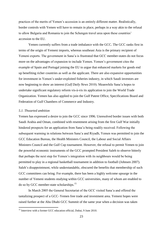practices of the merits of Yemen's accession is an entirely different matter. Realistically, border controls with Yemen will have to remain in place, perhaps in a way akin to the refusal to allow Bulgaria and Romania to join the Schengen travel area upon these countries' accession to the EU.

Yemen currently suffers from a trade imbalance with the GCC. The GCC ranks first in terms of the origin of Yemeni imports, whereas southeast Asia is the primary recipient of Yemeni exports. The government in Sana'a is frustrated that GCC member-states do not focus more on the advantages of expansion to include Yemen. Yemen's government cites the example of Spain and Portugal joining the EU to argue that enhanced markets for goods end up benefiting richer countries as well as the applicant. There are also expansive opportunities for investment in Yemen's under-exploited fisheries industry, in which Saudi investors are now beginning to show an interest (*Gulf Daily News* 2010). Meanwhile Sana'a hopes to undertake significant regulatory reform vis-à-vis its application to join the World Trade Organization. Yemen has also applied to join the Gulf Patent Office, Specifications Board and Federation of Gulf Chambers of Commerce and Industry.

#### *5.1. Thwarted ambition*

-

Yemen has expressed a desire to join the GCC since 1996. Unresolved border issues with both Saudi Arabia and Oman, combined with resentment arising from the first Gulf War initially hindered prospects for an application from Sana'a being readily received. Following the subsequent warming in relations between Sana'a and Riyadh, Yemen was permitted to join the GCC Education Bureau, the Health Ministers Council, the Labour and Social Affairs Ministers Council and the Gulf Cup tournament. However, the refusal to permit Yemen to join the powerful economic instruments of the GCC prompted President Saleh to observe bitterly that perhaps the next step for Yemen's integration with its neighbours would be being permitted to play in a regional basketball tournament in addition to football (Johnsen 2007). Saleh's disappointment, while understandable, obscured the benefits that membership of such GCC committees can bring. For example, there has been a highly welcome upsurge in the number of Yemeni students studying within GCC universities, many of whom are enabled to do so by GCC member-state scholarships.<sup>15</sup>

In March 2005 the General Secretariat of the GCC visited Sana'a and offered the tantalizing prospect of a GCC–Yemen free trade and investment area. Yemeni hopes were raised further at the Abu Dhabi GCC Summit of the same year when a decision was taken

<sup>&</sup>lt;sup>15</sup> Interview with a former GCC education official, Dubai, 9 June 2010.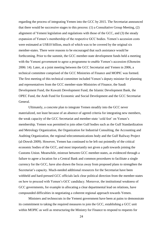regarding the process of integrating Yemen into the GCC by 2015. The Secretariat announced that there would be successive stages to this process: (1) a Consultative Group Meeting, (2) alignment of Yemeni legislation and regulations with those of the GCC, and (3) the steady expansion of Yemen's membership of the respective GCC bodies. Yemen's accession costs were estimated at US\$10 billion, much of which was to be covered by the original six member-states. There were reasons to be encouraged that such assistance would be forthcoming. Prior to the summit, the GCC member-state development funds held a meeting with the Yemeni government to agree a programme to enable Yemen's accession (Ghoneim 2006: 14). Later, at a joint meeting between the GCC Secretariat and Yemen in 2006, a technical committee comprised of the GCC Ministries of Finance and MOPIC was formed. The first meeting of this technical committee included Yemen's deputy minister for planning and representatives from the GCC member-state Ministries of Finance, the Saudi Development Fund, the Kuwaiti Development Fund, the Islamic Development Bank, the OPEC Fund, the Arab Fund for Economic and Social Development and the GCC Secretariat General.

Ultimately, a concrete plan to integrate Yemen steadily into the GCC never materialized, not least because of an absence of agreed criteria for integrating new members, the weak capacity of the GCC Secretariat and member-state 'cold feet' on Yemen's membership. Yemen was permitted to join other Gulf bodies such as the Gulf Standardization and Metrology Organization, the Organization for Industrial Consulting, the Accounting and Auditing Organization, the regional telecommunications body and the Gulf Railway Project (al-Dowsh 2009). However, Yemen has continued to be left out pointedly of the critical economic bodies of the GCC, and most importantly not given a path towards joining the Customs Union. Meanwhile, mistrust between GCC member-states, as evidenced through a failure to agree a location for a Central Bank and common procedures to facilitate a single currency for the GCC, have also drawn the focus away from proposed plans to strengthen the Secretariat's capacity. Much-needed additional resources for the Secretariat have been withheld and hard-pressed GCC officials lack clear political direction from the member-states on how to proceed with Yemen's GCC candidacy. Moreover, the institutional weakness of GCC governments, for example in allocating a clear departmental lead on relations, have compounded difficulties in negotiating a coherent regional approach towards Yemen.

Ministers and technocrats in the Yemeni government have been at pains to demonstrate its commitment to taking the required measures to join the GCC, establishing a GCC unit within MOPIC as well as restructuring the Ministry for Finance to respond to requests for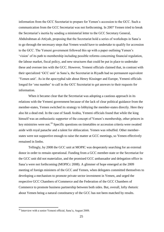information from the GCC Secretariat to prepare for Yemen's accession to the GCC. Such a communication from the GCC Secretariat was not forthcoming. In 2007 Yemen tried to break the Secretariat's inertia by sending a ministerial letter to the GCC Secretary General, Abdulrahman al-Attiyah, proposing that the Secretariat hold a series of workshops in Sana'a to go through the necessary steps that Yemen would have to undertake to qualify for accession to the GCC. The Yemeni government followed this up with a paper outlining Yemen's 'vision' of its path to membership including possible reforms concerning financial regulation, the labour market, fiscal policy, and new structures that could be put in place to undertake these and oversee ties with the GCC. However, Yemeni officials claimed that, in contrast with their specialized 'GCC unit' in Sana'a, the Secretariat in Riyadh had no permanent equivalent 'Yemen unit'. As in the apocryphal tale about Henry Kissinger and Europe, Yemeni officials longed for 'one number' to call in the GCC Secretariat to get answers to their requests for information.

When it became clear that the Secretariat was adopting a cautious approach in its relations with the Yemeni government because of the lack of clear political guidance from the member-states, Yemen switched its strategy to lobbying the member-states directly. Here they also hit a dead end. In the case of Saudi Arabia, Yemeni officials found that while the king himself was an enthusiastic supporter of the concept of Yemen's membership, other princes in key ministries were not.<sup>16</sup> Specific questions on timetables or accession criteria were swatted aside with royal panache and a talent for obfuscation. Yemen was rebuffed. Other memberstates were not supportive enough to raise the matter at GCC meetings, so Yemen effectively remained in limbo.

Tellingly, by 2008 the GCC unit at MOPIC was desperately searching for an external donor in order to remain operational. Funding from a GCC member-state or the Secretariat for the GCC unit did not materialize, and the promised GCC ambassador and delegation office in Sana'a were not forthcoming (MOPICc 2008). A glimmer of hope emerged at the 2009 meeting of foreign ministers of the GCC and Yemen, when delegates committed themselves to developing a mechanism to promote private sector investment in Yemen, and urged the respective GCC Chambers of Commerce and the Federation of the GCC Chambers of Commerce to promote business partnership between both sides. But, overall, lofty rhetoric about Yemen being a natural constituency of the GCC has not been matched by results.

-

<sup>&</sup>lt;sup>16</sup> Interview with a senior Yemeni official, Sana'a, August 2009.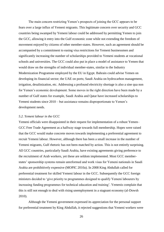The main concern restricting Yemen's prospects of joining the GCC appears to be fears over a large influx of Yemeni migrants. This legitimate concern over security and GCC countries being swamped by Yemeni labour could be addressed by permitting Yemen to join the GCC, allowing it entry into the Gulf economic zone while not extending the freedom of movement enjoyed by citizens of other member-states. However, such an agreement should be accompanied by a commitment to easing visa restrictions for Yemeni businessmen and significantly increasing the number of scholarships provided to Yemeni students at vocational schools and universities. The GCC could also put in place a model of assistance to Yemen that would draw on the strengths of individual member-states, similar to the Industry Modernization Programme employed by the EU in Egypt. Bahrain could advise Yemen on developing its financial sector; the UAE on ports; Saudi Arabia on hydrocarbon management, irrigation, desalinization, etc. Addressing a profound electricity shortage is also a sine qua non for Yemen's economic development. Some moves in the right direction have been made by a number of Gulf states for example, Saudi Arabia and Qatar have increased scholarships to Yemeni students since 2010 – but assistance remains disproportionate to Yemen's development needs.

#### *5.2. Yemeni labour in the GCC*

Yemeni officials were disappointed in their request for implementation of a robust Yemen– GCC Free Trade Agreement as a halfway stage towards full membership. Hopes were raised that the GCC would make concrete moves towards implementing a preferential agreement to recruit Yemeni labour. However, although there has been a small increase in the number of Yemeni migrants, Gulf rhetoric has not been matched by action. This is not entirely surprising. All GCC countries, particularly Saudi Arabia, have existing agreements giving preference to the recruitment of Arab workers, yet these are seldom implemented. Most GCC memberstates' sponsorship systems remain unreformed and work visas for Yemeni nationals in Saudi Arabia are prohibitively expensive (MOPIC 2010a). In 2008 King Abdullah called for preferential treatment for skilled Yemeni labour in the GCC. Subsequently the GCC foreign ministers decided to 'give priority to programmes designed to qualify Yemeni labourers by increasing funding programmes for technical education and training'. Yemenis complain that this is still not enough to deal with rising unemployment in a stagnant economy (al-Dowsh 2010).

Although the Yemeni government expressed its appreciation for the personal support for preferential treatment by King Abdullah, it rejected suggestions that Yemeni workers were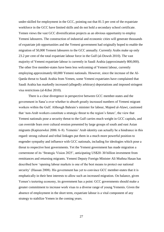under-skilled for employment in the GCC, pointing out that 81.5 per cent of the expatriate workforce in the GCC have limited skills and do not hold a secondary school certificate. Yemen views the vast GCC diversification projects as an obvious opportunity to employ Yemeni labourers. The construction of industrial and economic cities will generate thousands of expatriate job opportunities and the Yemeni government had originally hoped to enable the migration of 50,000 Yemeni labourers to the GCC annually. Currently Arabs make up only 23.2 per cent of the total expatriate labour force in the Gulf (al-Dowsh 2010). The vast majority of Yemeni expatriate labour is currently in Saudi Arabia (approximately 800,000). The other five member-states have been less welcoming of Yemeni labour, currently employing approximately 60,000 Yemeni nationals. However, since the increase of the Al-Qaeda threat to Saudi Arabia from Yemen, some Yemeni expatriates have complained that Saudi Arabia has markedly increased (allegedly arbitrary) deportations and imposed stringent visa restrictions (al-Kibsi 2010).

There is a clear divergence in perspective between GCC member-states and the government in Sana'a over whether to absorb greatly increased numbers of Yemeni migrant workers within the Gulf. Although Bahrain's minister for labour, Majeed al-Alawi, cautioned that 'non-Arab workers constitute a strategic threat to the region's future', the view that Yemeni nationals pose a security threat to the Gulf carries much weight in GCC capitals, and can override fears over cultural erosion presented by large groups of south and east Asian migrants (Kapiszewksi 2006: 6–8). Yemenis' Arab identity can actually be a hindrance in this regard: strong cultural and tribal linkages put them in a much more powerful position to engender sympathy and influence with GCC nationals, including for ideologies which pose a threat to respective host governments. Yet the Yemeni government has made migration a cornerstone of its 'Strategic Vision 2025', anticipating US\$20–30 billion investment from remittances and returning migrants. Yemeni Deputy Foreign Minister Ali Muthna Hasan has described how 'opening labour markets is one of the best means to protect our national security' (Hassan 2008). His government has yet to convince GCC member-states that it is emphatically in their best interests to allow such an increased migration. On balance, given Yemen's teetering economy, its government has a point: GCC governments should make a greater commitment to increase work visas to a diverse range of young Yemenis. Given the absence of employment in the short term, expatriate labour is a vital component of any strategy to stabilize Yemen in the coming years.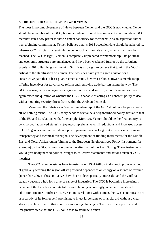#### **6. THE FUTURE OF GULF RELATIONS WITH YEMEN**

The most important divergence of views between Yemen and the GCC is not whether Yemen should be a member of the GCC, but rather when it should become one. Governments of GCC member-states now prefer to view Yemeni candidacy for membership as an aspiration rather than a binding commitment. Yemen believes that its 2015 accession date should be adhered to, whereas GCC officials increasingly perceive such a timescale as a goal which will not be reached. The GCC is right; Yemen is completely unprepared for membership – its political and economic structures are unbalanced and have been weakened further by the turbulent events of 2011. But the government in Sana'a is also right to believe that joining the GCC is critical to the stabilization of Yemen. The two sides have yet to agree a vision for a constructive path that at least gives Yemen a route, however arduous, towards membership, offering incentives for governance reform and removing trade barriers along the way. The GCC was originally envisaged as a regional political and security union. Yemen has once again raised the question of whether the GCC is capable of acting as a coherent polity to deal with a mounting security threat from within the Arabian Peninsula.

Moreover, the debate over Yemeni membership of the GCC should not be perceived in all-or-nothing terms. The GCC badly needs to revitalize a neighbourhood policy similar to that of the EU and its relations with, for example, Morocco. Yemen should be the first country to be accorded 'advanced status', enjoying comprehensive tariff reductions and increased access to GCC agencies and tailored development programmes, as long as it meets basic criteria on transparency and technical oversight. The development of funding instruments for the Middle East and North Africa region (similar to the European Neighbourhood Policy Instrument, for example) by the GCC is now overdue in the aftermath of the Arab Spring. These instruments would give badly needed political weight to collective statements and actions taken at GCC meetings.

The GCC member-states have invested over US\$1 trillion in domestic projects aimed at gradually weaning the region off its profound dependence on energy on a source of revenue (Janardhan 2007). These initiatives have been at least partially successful and the Gulf has steadily become a hub for a diverse range of industries. The GCC is becoming increasingly capable of thinking big about its future and planning accordingly, whether in relation to education, finance or infrastructure. Yet, in its relations with Yemen, the GCC continues to act as a parody of its former self, promising to inject large sums of financial aid without a clear strategy on how to meet that country's mounting challenges. There are many positive and imaginative steps that the GCC could take to stabilize Yemen.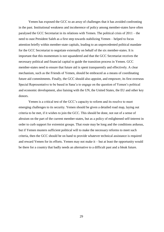Yemen has exposed the GCC to an array of challenges that it has avoided confronting in the past. Institutional weakness and incoherence of policy among member-states have often paralysed the GCC Secretariat in its relations with Yemen. The political crisis of 2011 – the need to oust President Saleh as a first step towards stabilizing Yemen – helped to focus attention briefly within member-state capitals, leading to an unprecedented political mandate for the GCC Secretariat to negotiate externally on behalf of the six member-states. It is important that this momentum is not squandered and that the GCC Secretariat receives the necessary political and financial capital to guide the transition process in Yemen. GCC member-states need to ensure that future aid is spent transparently and effectively. A clear mechanism, such as the Friends of Yemen, should be embraced as a means of coordinating future aid commitments. Finally, the GCC should also appoint, and empower, its first overseas Special Representative to be based in Sana'a to engage on the question of Yemen's political and economic development, also liaising with the UN, the United States, the EU and other key donors.

Yemen is a critical test of the GCC's capacity to reform and its resolve to meet emerging challenges to its security. Yemen should be given a detailed road map, laying out criteria to be met, if it wishes to join the GCC. This should be done, not out of a sense of altruism on the part of the current member-states, but as a policy of enlightened self-interest in order to curb support for extremist groups. That route may be long and the conditions arduous, but if Yemen musters sufficient political will to make the necessary reforms to meet such criteria, then the GCC should be on hand to provide whatever technical assistance is required and reward Yemen for its efforts. Yemen may not make it – but at least the opportunity would be there for a country that badly needs an alternative to a difficult past and a bleak future.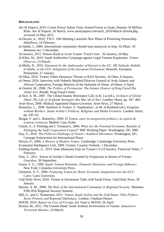#### **BIBLIOGRAPHY**

- *Ain Al Yaqeen*, 2010. Crown Prince Sultan Visits Armed Forces in Jazan, Donates 50 Million Rials. *Ain Al Yaqeen*, 26 March, www.ainalyaqeen.com/arch\_2010/March-26/en4.php, accessed 24 May 2012.
- al-Dowsh, A., 2010. YSCC 19th Meeting Launches New Phase of Promising Partnership. *SabaNews*, 24 February.
- al-Jadabi, J., 2006. International community should stop massacres in Iraq: Al-Dhari. *Al-Motamar.net*, 5 December.
- Al-Jazeera, 2012. Donors Rush to Avert Yemen 'Food Crisis'. Al-Jazeera, 24 May.
- al-Kibsi, M., 2010. Saudi Authorities Campaign against Legal Yemeni Expatriates. *Yemen Observer*, 23 March.
- al-Mulla, N., 2010. *Statement by the Ambassador of Kuwait to the EU, HE Nabeela Abdulla al-Mulla, to the GCC delegation of the European Parliament*. Brussels: European Parliament, 27 January.
- *Al-Okaz*, 2010. Yemen Tribes Denounce Threats to KSA Security. *Al-Okaz*, 6 January.
- *al-Oman*, 2010. Interview with Nabeela Mujahid Director General of Arab, Islamic and African Cooperation, Foreign Ministry of the Sultanate of Oman. *al-Oman*, 6 April.
- al-Osaimi, M., 2008. *The Politics of Persuasion: The Islamic Oratory of King Faisal Ibn Abdul Aziz*. Ritadh: King Faisal Center.
- al-Suri, A. M., 2007. The Global Islamic Resistance Call, in B. Lia (ed.), *Architect of Global Jihad: The Life of Al-Qaida Strategist Abu Mus'ab al-Suri*. London: Hurst, pp. 347–484.
- *Arab News*, 2009. Mishaal Appointed Najran Governor. *Arab News*, 27 March.
- Bonnefoy, L., 2008. Salafism in Yemen: A 'Saudisation', in M. al-Rasheed (ed.), *Kingdom without Borders: Saudi Arabia's Political, Religious and Media Frontiers*. London: Hurst, pp. 245–62.
- Burgat, F. and L. Bonnefoy, 2009. *El Yemen, entre la integración política y la espiral de (contra) violencia*. Madrid: Casa Árabe.
- Chami, S., S. Elekdag and I. Tchakarov, 2004. *What Are the Potential Economic Benefits of Enlarging the Gulf Cooperation Council?* IMF Working Paper. Washington, DC: IMF.
- Day, S., 2010. *The Political Challenge of Yemen's Southern Movement.* Washington, DC: Carnegie Endowment for International Peace.
- Dresch, P., 2000. *A History of Modern Yemen.* Cambridge: Cambridge University Press.
- Economist Intelligence Unit, 2009. Yemen: Country Outlook. 1 December.
- Fielding-Smith, A., 2010. State Maintains Grip on Yemen's Civil Society. *Financial Times*, 7 February.
- Finn, T., 2011. Anwar al-Awlaki's Death Greeted by Scepticism in Streets of Yemen. *Guardian*, 30 September.
- Gause, F. G., 1990. *Saudi–Yemeni Relations: Domestic Structures and Foreign Influence.*  New York: Columbia University Press.
- Ghoneim, A. F., 2006. *Preparing Yemen for Better Economic Integration into the GCC.*  Cairo: Cairo University.
- *Gulf Daily News*, 2010. Yemen in Investment Talks with Saudi Firms. *Gulf Daily News*, 30 January.
- Hassan, A. M., 2008. *The Role of the International Community in Regional Security.* Manama: Fifth IISS Regional Security Summit.
- Hill, G., and G. Nonneman, 2011. *Yemen, Saudi Arabia and the Gulf States: Elite Politics, Street Protests and Regional Diplomacy.* London: Chatham House.
- HOOD, 2010. *Report on Uses of Foreign Aid.* Sana'a: HOOD, 26 April.
- Horton, M., 2011. The Unseen Hand: Saudi Arabian Involvement in Yemen. *Jamestown Terrorism Monitor*, 24 March.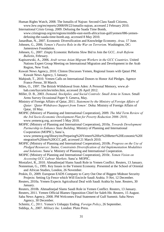- Human Rights Watch, 2008. The Ismailis of Najran: Second-Class Saudi Citizens, www.hrw.org/en/reports/2008/09/22/ismailis-najran, accessed 2 February 2010.
- International Crisis Group, 2009. Defusing the Saada Time Bomb, www.crisisgroup.org/en/regions/middle-east-north-africa/iran-gulf/yemen/086-yemendefusing-the-saada-time-bomb.asp, accessed 8 May 2010.
- Janardhan, N., 2007. Economic Diversification and Knowledge Economy. *Araa,* 17 June.
- Johnsen, G., 2006. *Yemen's Passive Role in the War on Terrorism*. Washington, DC: Jamestown Foundation.
- Johnsen, G., 2007. *E*mpty Economic Reforms Slow Bid to Join the GCC. *Arab Reform Bulletin*, February.
- Kapiszewski, A., 2006. *Arab versus Asian Migrant Workers in the GCC Countries*. United Nations Expert Group Meeting on International Migration and Development in the Arab Region, New York.
- Kuwait News Agency, 2010. Clinton Discusses Yemen, Regional Issues with Qatari PM. Kuwait News Agency, 5 January.
- Mahjoub, T., 2010. Yemen Calls on International Donors to Honor Aid Pledges. Agence France Presse, 30 March.
- Miles, O., 1997. The British Withdrawal from Aden: A Personal Memory, www.albab.com/bys/articles/miles.htm, accessed 26 April 2012.
- Miller, D. B., 2003. *[Demand, Stockpiles, and Social Controls: Small Arms in Yemen](http://hei.unige.ch/sas/files/sas/publications/o_papers_pdf/2003-op09-yemen.pdf)*. Small Arms Survey Occasional Paper 9. Geneva, May.
- Ministry of Foreign Affairs of Qatar, 2011. *Statement by the Ministry of Foreign Affairs of Qatar: 'Qatar Withdraws Support from Yemen'.* Doha: Ministry of Foreign Affairs of Qatar, 18 May.
- MOPIC (Ministry of Planning and International Cooperation), 2009. *The Mid Term Review of the 3rd Socio-Economic Development Plan for Poverty Reduction 2006–2010*, www.yemencg.org, accessed 5 May 2010.
- MOPIC (Ministry of Planning and International Cooperation), 2010a. *Towards Development Partnership to Enhance State Building*. Ministry of Planning and International Cooperation (MOPIC), Sana'a,

www.yemencg.org/library/en/Preparing%20Yemen%20for%20Better%20Economic%20I ntegration%20into%20GCC.pdf, accessed 21 March 2010.

- MOPIC (Ministry of Planning and International Cooperation), 2010b. *Progress on the Use of Pledged Resources: Status, Constraints Diversification of Aid Implementation Modalities and Solutions*. Sana'a: Ministry of Planning and International Cooperation.
- MOPIC (Ministry of Planning and International Cooperation), 2010c. *Yemen Vision on Accessing GCC Labour Markets*. Sana'a: MOPIC.

Mostafavi, R., 2010. Ahmadinejad Slams Saudi Role in Yemen Conflict. Reuters, 13 January.

- Nonneman, G., 1995. Key Issues in the Yemeni Economy. Presented at the School of Oriental and African Studies, London, 26 November.
- Peskin, D., 2009. European EADS Company to Carry Out One of Biggest Mideast Security Projects: Setting Up Fence which Will Encircle Saudi Arabia. *Y-Net*, 12 December.
- Reuters, 2010a. Yemen Expects Agricultural Deal with Saudi Arabia by June. Reuters, 30 January.
- Reuters, 2010b. Ahmadinejad Slams Saudi Role in Yemen Conflict. Reuters, 13 January.
- Reuters, 2011. Yemen Official Blames Opposition Chief for Saleh Hit. Reuters, 15 August.
- Saba News Agency, 2008. PM Welcomes Final Statement of Gulf Summit. Saba News Agency, 30 December.
- Schmitz, C., 2011. Yemen's Unhappy Ending. *Foreign Policy*, 26 September.
- Siddiqa, A., 2007. *Military Inc.* London: Pluto Press.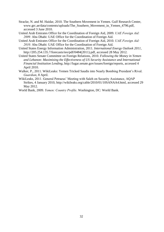- Stracke, N. and M. Haidar, 2010. The Southern Movement in Yemen. Gulf Research Center, www.grc.ae/data/contents/uploads/The\_Southern\_Movement\_in\_Yemen\_4796.pdf, accessed 3 June 2010.
- United Arab Emirates Office for the Coordination of Foreign Aid, 2009. *UAE Foreign Aid: 2009.* Abu Dhabi: UAE Office for the Coordination of Foreign Aid.
- United Arab Emirates Office for the Coordination of Foreign Aid, 2010. *UAE Foreign Aid: 2010.* Abu Dhabi: UAE Office for the Coordination of Foreign Aid.
- United States Energy Information Administration, 2011. *International Energy Outlook 2011*, http://205.254.135.7/forecasts/ieo/pdf/0484(2011).pdf, accessed 28 May 2012.
- United States Senate Committee on Foreign Relations, 2010. *Following the Money in Yemen and Lebanon: Maximising the Effectiveness of US Security Assistance and International Financial Institution Lending*, http://lugar.senate.gov/issues/foreign/reports, accessed 4 April 2010.
- Walker, P., 2011. WikiLeaks: Yemen Tricked Saudis into Nearly Bombing President's Rival. *Guardian*, 8 April.
- WikiLeaks, 2011. General Petraeus' Meeting with Saleh on Security Assistance, AQAP Strikes, 4 January 2010, [http://wikileaks.org/cable/2010/01/10SANAA4.html,](http://wikileaks.org/cable/2010/01/10SANAA4.html) accessed 29 May 2012.
- World Bank, 2009. *Yemen: Country Profile*. Washington, DC: World Bank.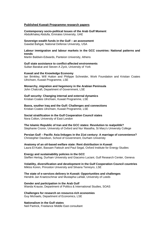#### **Published Kuwait Programme research papers**

**Contemporary socio-political Issues of the Arab Gulf Moment**  Abdulkhaleq Abdulla, Emirates University, UAE

**Sovereign wealth funds in the Gulf – an assessment**  Gawdat Bahgat, National Defense University, USA

#### **Labour immigration and labour markets in the GCC countries: National patterns and trends**

Martin Baldwin-Edwards, Panteion University, Athens

**Gulf state assistance to conflict-affected environments**  Sultan Barakat and Steven A Zyck, University of York

**Kuwait and the Knowledge Economy** 

Ian Brinkley, Will Hutton and Philippe Schneider, Work Foundation and Kristian Coates Ulrichsen, Kuwait Programme, LSE

**Monarchy, migration and hegemony in the Arabian Peninsula**  John Chalcraft, Department of Government, LSE

#### **Gulf security: Changing internal and external dynamics**

Kristian Coates Ulrichsen, Kuwait Programme, LSE

**Basra, souther Iraq and the Gulf: Challenges and connections**  Kristian Coates Ulrichsen, Kuwait Programme, LSE

**Social stratification in the Gulf Cooperation Council states**  Nora Colton, University of East London

**The Islamic Republic of Iran and the GCC states: Revolution to realpolitik?**  Stephanie Cronin, University of Oxford and Nur Masalha, St Mary's University College

**Persian Gulf – Pacific Asia linkages in the 21st century: A marriage of convenience?**  Christopher Davidson, School of Government, Durham Univeristy

**Anatomy of an oil-based welfare state: Rent distribution in Kuwait**  Laura El-Katiri, Bassam Fattouh and Paul Segal, Oxford Institute for Energy Studies

**Energy and sustainability policies in the GCC** 

Steffen Hertog, Durham University and Giacomo Luciani, Gulf Research Center, Geneva

**Volatility, diversification and development in the Gulf Cooperation Council countries**  Miklos Koren, Princeton University and Silvana Tenreyro, LSE

**The state of e-services delivery in Kuwait: Opportunities and challenges**  Hendrik Jan Kraetzschmar and Mustapha Lahlali, University of Leeds

**Gender and participation in the Arab Gulf**  Wanda Krause, Department of Politics & International Studies, SOAS

**Challenges for research on resource-rich economies**  Guy Michaels, Department of Economics, LSE

**Nationalism in the Gulf states**  Neil Partrick, Freelance Middle East consultant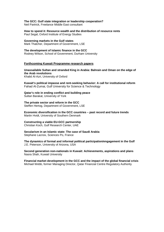#### **The GCC: Gulf state integration or leadership cooperation?**

Neil Partrick, Freelance Middle East consultant

**How to spend it: Resource wealth and the distribution of resource rents**  Paul Segal, Oxford Institute of Energy Studies

**Governing markets in the Gulf states**  Mark Thatcher, Department of Government, LSE

#### **The development of Islamic finance in the GCC**

Rodney Wilson, School of Government, Durham University

#### **Forthcoming Kuwait Programme research papers**

**Unassailable Sultan and stranded King in Arabia: Bahrain and Oman on the edge of the Arab revolutions** 

Khalid Al-Azri, University of Oxford

**Kuwait's political impasse and rent-seeking behavior: A call for institutional reform**  Fahad Al-Zumai, Gulf University for Science & Technology

**Qatar's role in ending conflict and building peace**  Sultan Barakat, University of York

**The private sector and reform in the GCC**  Steffen Hertog, Department of Government, LSE

**Economic diversification in the GCC countries – past record and future trends**  Martin Hvidt, University of Southern Denmark

#### **Constructing a viable EU-GCC partnership**

Christian Koch, Gulf Research Center, UAE

**Secularism in an Islamic state: The case of Saudi Arabia**  Stephane Lacroix, Sciences Po, France

**The dynamics of formal and informal political participation/engagement in the Gulf**  J.E. Peterson, University of Arizona, USA

**Second generation non-nationals in Kuwait: Achievements, aspirations and plans**  Nasra Shah, Kuwait University

**Financial market development in the GCC and the impact of the global financial crisis**  Michael Webb, former Managing Director, Qatar Financial Centre Regulatory Authority